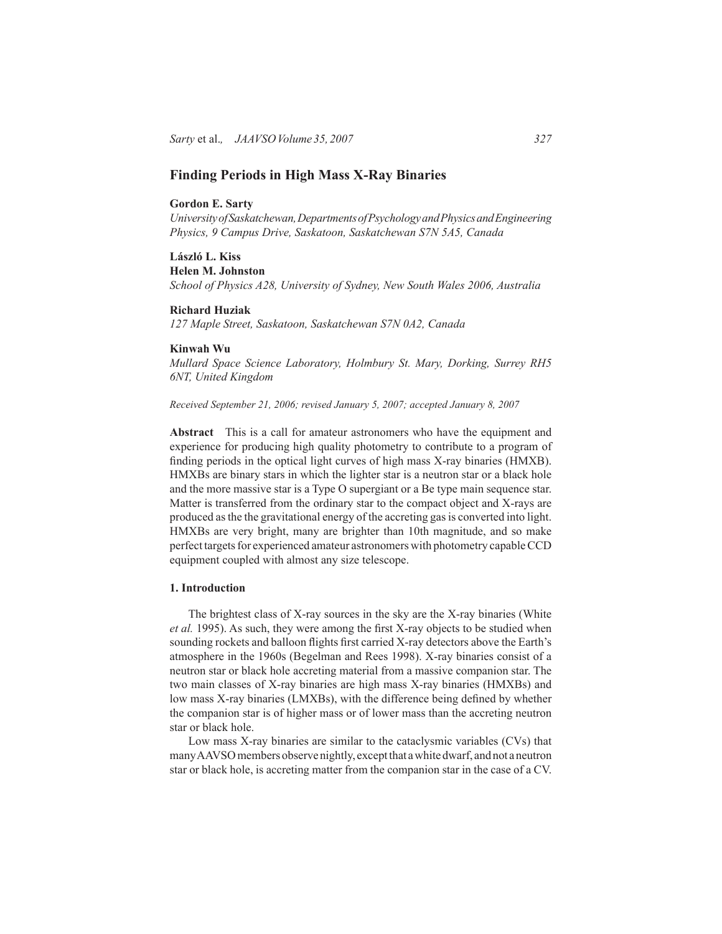# **Finding Periods in High Mass X-Ray Binaries**

#### **Gordon E. Sarty**

*University of Saskatchewan, Departments of Psychology and Physics and Engineering Physics, 9 Campus Drive, Saskatoon, Saskatchewan S7N 5A5, Canada*

# **László L. Kiss**

**Helen M. Johnston** *School of Physics A28, University of Sydney, New South Wales 2006, Australia*

# **Richard Huziak**

*127 Maple Street, Saskatoon, Saskatchewan S7N 0A2, Canada*

## **Kinwah Wu**

*Mullard Space Science Laboratory, Holmbury St. Mary, Dorking, Surrey RH5 6NT, United Kingdom*

*Received September 21, 2006; revised January 5, 2007; accepted January 8, 2007*

**Abstract** This is a call for amateur astronomers who have the equipment and experience for producing high quality photometry to contribute to a program of finding periods in the optical light curves of high mass X-ray binaries (HMXB). HMXBs are binary stars in which the lighter star is a neutron star or a black hole and the more massive star is a Type O supergiant or a Be type main sequence star. Matter is transferred from the ordinary star to the compact object and X-rays are produced as the the gravitational energy of the accreting gas is converted into light. HMXBs are very bright, many are brighter than 10th magnitude, and so make perfect targets for experienced amateur astronomers with photometry capable CCD equipment coupled with almost any size telescope.

# **1. Introduction**

The brightest class of X-ray sources in the sky are the X-ray binaries (White *et al.* 1995). As such, they were among the first X-ray objects to be studied when sounding rockets and balloon flights first carried X-ray detectors above the Earth's atmosphere in the 1960s (Begelman and Rees 1998). X-ray binaries consist of a neutron star or black hole accreting material from a massive companion star. The two main classes of X-ray binaries are high mass X-ray binaries (HMXBs) and low mass X-ray binaries (LMXBs), with the difference being defined by whether the companion star is of higher mass or of lower mass than the accreting neutron star or black hole.

Low mass X-ray binaries are similar to the cataclysmic variables (CVs) that many AAVSO members observe nightly, except that a white dwarf, and not a neutron star or black hole, is accreting matter from the companion star in the case of a CV.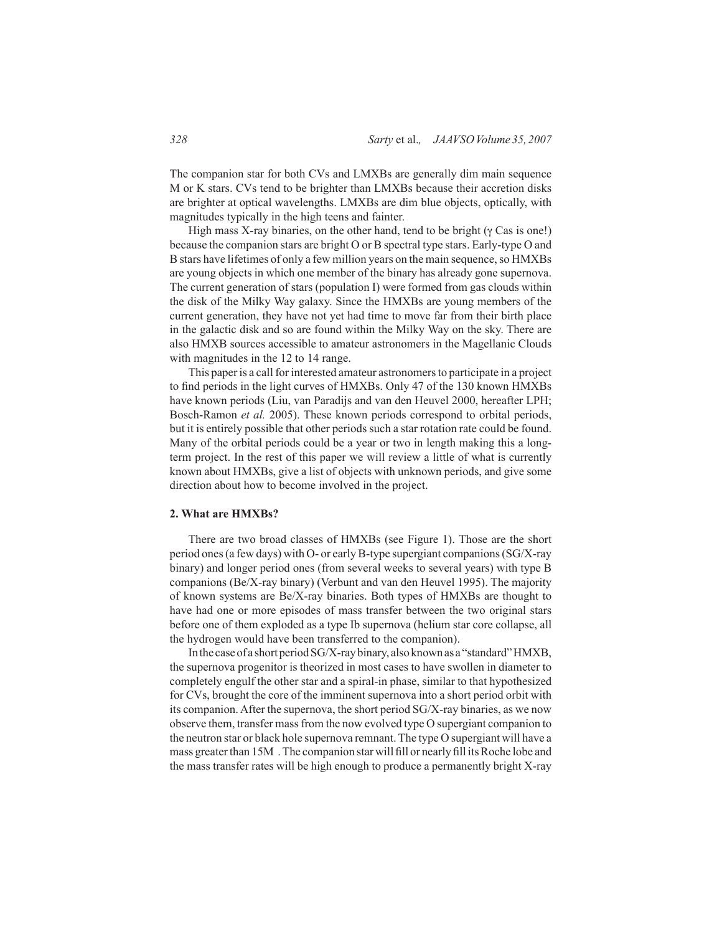The companion star for both CVs and LMXBs are generally dim main sequence M or K stars. CVs tend to be brighter than LMXBs because their accretion disks are brighter at optical wavelengths. LMXBs are dim blue objects, optically, with magnitudes typically in the high teens and fainter.

High mass X-ray binaries, on the other hand, tend to be bright ( $\gamma$  Cas is one!) because the companion stars are bright O or B spectral type stars. Early-type O and B stars have lifetimes of only a few million years on the main sequence, so HMXBs are young objects in which one member of the binary has already gone supernova. The current generation of stars (population I) were formed from gas clouds within the disk of the Milky Way galaxy. Since the HMXBs are young members of the current generation, they have not yet had time to move far from their birth place in the galactic disk and so are found within the Milky Way on the sky. There are also HMXB sources accessible to amateur astronomers in the Magellanic Clouds with magnitudes in the 12 to 14 range.

This paper is a call for interested amateur astronomers to participate in a project to find periods in the light curves of HMXBs. Only 47 of the 130 known HMXBs have known periods (Liu, van Paradijs and van den Heuvel 2000, hereafter LPH; Bosch-Ramon *et al.* 2005). These known periods correspond to orbital periods, but it is entirely possible that other periods such a star rotation rate could be found. Many of the orbital periods could be a year or two in length making this a longterm project. In the rest of this paper we will review a little of what is currently known about HMXBs, give a list of objects with unknown periods, and give some direction about how to become involved in the project.

### **2. What are HMXBs?**

There are two broad classes of HMXBs (see Figure 1). Those are the short period ones (a few days) with O- or early B-type supergiant companions (SG/X-ray binary) and longer period ones (from several weeks to several years) with type B companions (Be/X-ray binary) (Verbunt and van den Heuvel 1995). The majority of known systems are Be/X-ray binaries. Both types of HMXBs are thought to have had one or more episodes of mass transfer between the two original stars before one of them exploded as a type Ib supernova (helium star core collapse, all the hydrogen would have been transferred to the companion).

In the case of a short period SG/X-ray binary, also known as a "standard" HMXB, the supernova progenitor is theorized in most cases to have swollen in diameter to completely engulf the other star and a spiral-in phase, similar to that hypothesized for CVs, brought the core of the imminent supernova into a short period orbit with its companion. After the supernova, the short period SG/X-ray binaries, as we now observe them, transfer mass from the now evolved type O supergiant companion to the neutron star or black hole supernova remnant. The type O supergiant will have a mass greater than 15M . The companion star will fill or nearly fill its Roche lobe and the mass transfer rates will be high enough to produce a permanently bright X-ray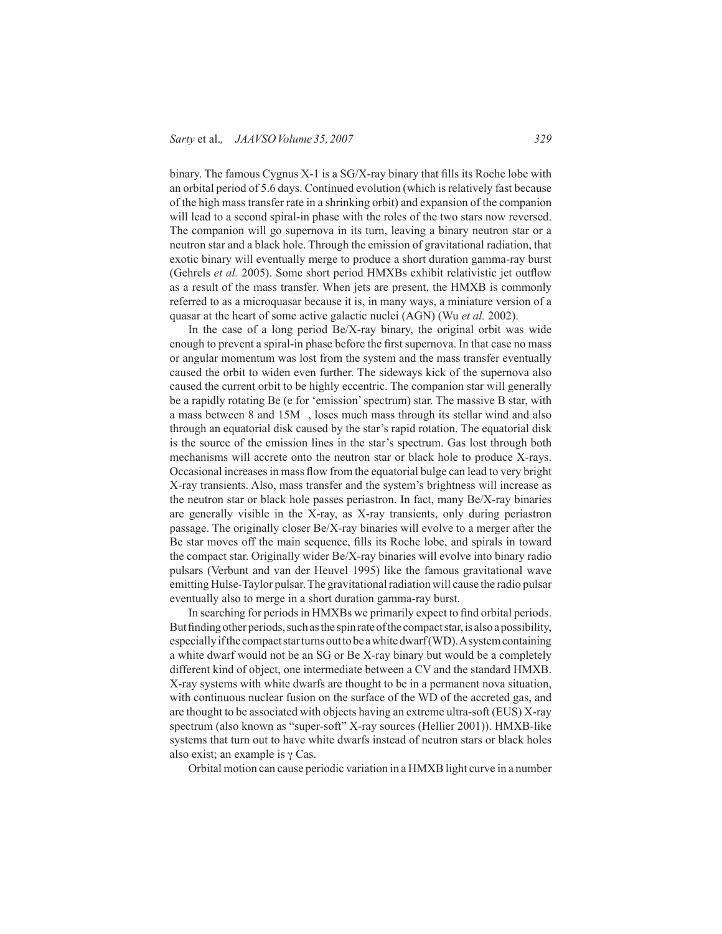binary. The famous Cygnus X-1 is a SG/X-ray binary that fills its Roche lobe with an orbital period of 5.6 days. Continued evolution (which is relatively fast because of the high mass transfer rate in a shrinking orbit) and expansion of the companion will lead to a second spiral-in phase with the roles of the two stars now reversed. The companion will go supernova in its turn, leaving a binary neutron star or a neutron star and a black hole. Through the emission of gravitational radiation, that exotic binary will eventually merge to produce a short duration gamma-ray burst (Gehrels *et al.* 2005). Some short period HMXBs exhibit relativistic jet outflow as a result of the mass transfer. When jets are present, the HMXB is commonly referred to as a microquasar because it is, in many ways, a miniature version of a quasar at the heart of some active galactic nuclei (AGN) (Wu *et al.* 2002).

In the case of a long period Be/X-ray binary, the original orbit was wide enough to prevent a spiral-in phase before the first supernova. In that case no mass or angular momentum was lost from the system and the mass transfer eventually caused the orbit to widen even further. The sideways kick of the supernova also caused the current orbit to be highly eccentric. The companion star will generally be a rapidly rotating Be (e for 'emission' spectrum) star. The massive B star, with a mass between 8 and 15M , loses much mass through its stellar wind and also through an equatorial disk caused by the star's rapid rotation. The equatorial disk is the source of the emission lines in the star's spectrum. Gas lost through both mechanisms will accrete onto the neutron star or black hole to produce X-rays. Occasional increases in mass flow from the equatorial bulge can lead to very bright X-ray transients. Also, mass transfer and the system's brightness will increase as the neutron star or black hole passes periastron. In fact, many Be/X-ray binaries are generally visible in the X-ray, as X-ray transients, only during periastron passage. The originally closer Be/X-ray binaries will evolve to a merger after the Be star moves off the main sequence, fills its Roche lobe, and spirals in toward the compact star. Originally wider Be/X-ray binaries will evolve into binary radio pulsars (Verbunt and van der Heuvel 1995) like the famous gravitational wave emitting Hulse-Taylor pulsar. The gravitational radiation will cause the radio pulsar eventually also to merge in a short duration gamma-ray burst.

In searching for periods in HMXBs we primarily expect to find orbital periods. But finding other periods, such as the spin rate of the compact star, is also a possibility, especially if the compact star turns out to be a white dwarf (WD). A system containing a white dwarf would not be an SG or Be X-ray binary but would be a completely different kind of object, one intermediate between a CV and the standard HMXB. X-ray systems with white dwarfs are thought to be in a permanent nova situation, with continuous nuclear fusion on the surface of the WD of the accreted gas, and are thought to be associated with objects having an extreme ultra-soft (EUS) X-ray spectrum (also known as "super-soft" X-ray sources (Hellier 2001)). HMXB-like systems that turn out to have white dwarfs instead of neutron stars or black holes also exist; an example is γ Cas.

Orbital motion can cause periodic variation in a HMXB light curve in a number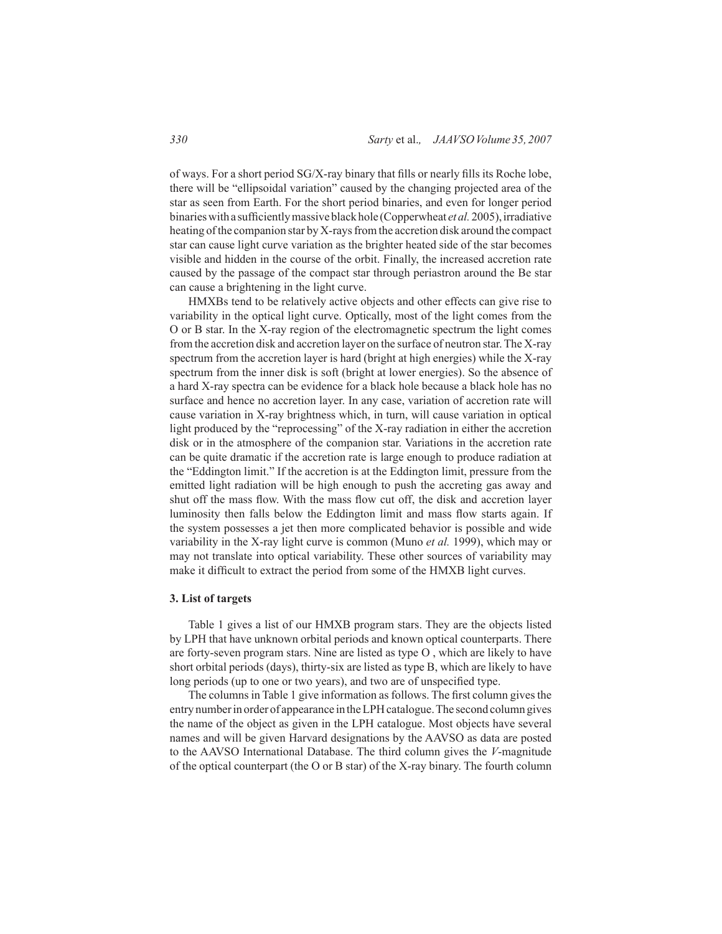of ways. For a short period SG/X-ray binary that fills or nearly fills its Roche lobe, there will be "ellipsoidal variation" caused by the changing projected area of the star as seen from Earth. For the short period binaries, and even for longer period binaries with a sufficiently massive black hole (Copperwheat *et al.* 2005), irradiative heating of the companion star by X-rays from the accretion disk around the compact star can cause light curve variation as the brighter heated side of the star becomes visible and hidden in the course of the orbit. Finally, the increased accretion rate caused by the passage of the compact star through periastron around the Be star can cause a brightening in the light curve.

HMXBs tend to be relatively active objects and other effects can give rise to variability in the optical light curve. Optically, most of the light comes from the O or B star. In the X-ray region of the electromagnetic spectrum the light comes from the accretion disk and accretion layer on the surface of neutron star. The X-ray spectrum from the accretion layer is hard (bright at high energies) while the X-ray spectrum from the inner disk is soft (bright at lower energies). So the absence of a hard X-ray spectra can be evidence for a black hole because a black hole has no surface and hence no accretion layer. In any case, variation of accretion rate will cause variation in X-ray brightness which, in turn, will cause variation in optical light produced by the "reprocessing" of the X-ray radiation in either the accretion disk or in the atmosphere of the companion star. Variations in the accretion rate can be quite dramatic if the accretion rate is large enough to produce radiation at the "Eddington limit." If the accretion is at the Eddington limit, pressure from the emitted light radiation will be high enough to push the accreting gas away and shut off the mass flow. With the mass flow cut off, the disk and accretion layer luminosity then falls below the Eddington limit and mass flow starts again. If the system possesses a jet then more complicated behavior is possible and wide variability in the X-ray light curve is common (Muno *et al.* 1999), which may or may not translate into optical variability. These other sources of variability may make it difficult to extract the period from some of the HMXB light curves.

### **3. List of targets**

Table 1 gives a list of our HMXB program stars. They are the objects listed by LPH that have unknown orbital periods and known optical counterparts. There are forty-seven program stars. Nine are listed as type O , which are likely to have short orbital periods (days), thirty-six are listed as type B, which are likely to have long periods (up to one or two years), and two are of unspecified type.

The columns in Table 1 give information as follows. The first column gives the entry number in order of appearance in the LPH catalogue. The second column gives the name of the object as given in the LPH catalogue. Most objects have several names and will be given Harvard designations by the AAVSO as data are posted to the AAVSO International Database. The third column gives the *V*-magnitude of the optical counterpart (the O or B star) of the X-ray binary. The fourth column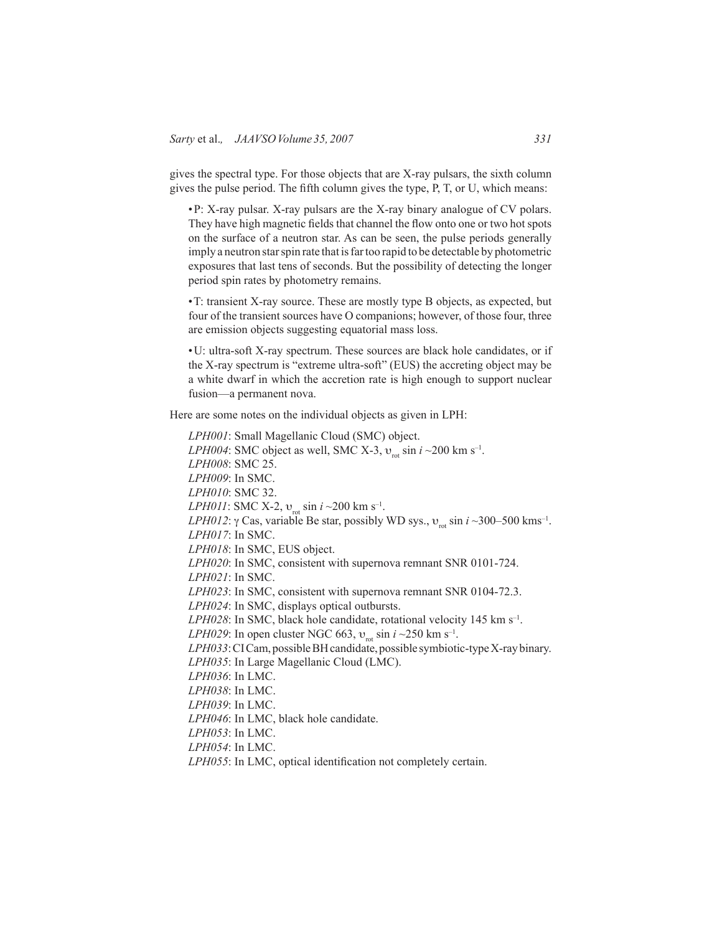gives the spectral type. For those objects that are X-ray pulsars, the sixth column gives the pulse period. The fifth column gives the type, P, T, or U, which means:

•P: X-ray pulsar. X-ray pulsars are the X-ray binary analogue of CV polars. They have high magnetic fields that channel the flow onto one or two hot spots on the surface of a neutron star. As can be seen, the pulse periods generally imply a neutron star spin rate that is far too rapid to be detectable by photometric exposures that last tens of seconds. But the possibility of detecting the longer period spin rates by photometry remains.

•T: transient X-ray source. These are mostly type B objects, as expected, but four of the transient sources have O companions; however, of those four, three are emission objects suggesting equatorial mass loss.

•U: ultra-soft X-ray spectrum. These sources are black hole candidates, or if the X-ray spectrum is "extreme ultra-soft" (EUS) the accreting object may be a white dwarf in which the accretion rate is high enough to support nuclear fusion—a permanent nova.

Here are some notes on the individual objects as given in LPH:

*LPH001*: Small Magellanic Cloud (SMC) object. *LPH004*: SMC object as well, SMC X-3,  $v_{\text{rot}}$  sin *i* ~200 km s<sup>-1</sup>. *LPH008*: SMC 25. *LPH009*: In SMC. *LPH010*: SMC 32. *LPH011*: SMC X-2,  $v_{\text{rot}}$  sin *i* ~200 km s<sup>-1</sup>. *LPH012*: γ Cas, variable Be star, possibly WD sys.,  $v_{\text{rot}} \sin i \sim 300-500 \text{ km s}^{-1}$ . *LPH017*: In SMC. *LPH018*: In SMC, EUS object. *LPH020*: In SMC, consistent with supernova remnant SNR 0101-724. *LPH021*: In SMC. *LPH023*: In SMC, consistent with supernova remnant SNR 0104-72.3. *LPH024*: In SMC, displays optical outbursts. *LPH028*: In SMC, black hole candidate, rotational velocity 145 km s–1. *LPH029*: In open cluster NGC 663,  $v_{\text{rot}}$  sin *i* ~250 km s<sup>-1</sup>. *LPH033*: CI Cam, possible BH candidate, possible symbiotic-type X-ray binary. *LPH035*: In Large Magellanic Cloud (LMC). *LPH036*: In LMC. *LPH038*: In LMC. *LPH039*: In LMC. *LPH046*: In LMC, black hole candidate. *LPH053*: In LMC. *LPH054*: In LMC.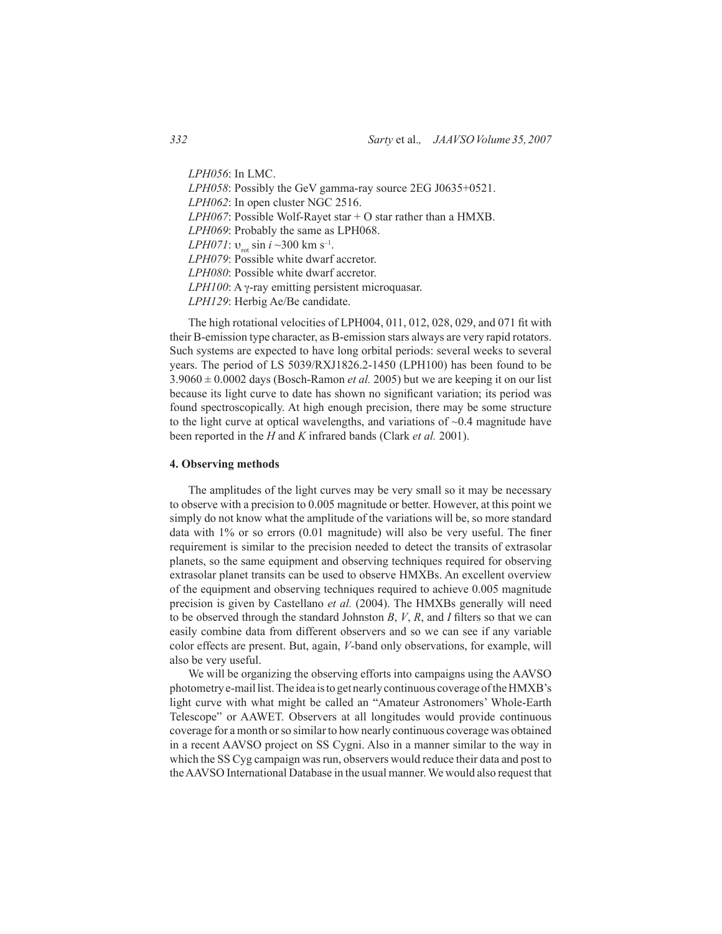*LPH056*: In LMC. *LPH058*: Possibly the GeV gamma-ray source 2EG J0635+0521. *LPH062*: In open cluster NGC 2516. *LPH067*: Possible Wolf-Rayet star + O star rather than a HMXB. *LPH069*: Probably the same as LPH068. *LPH071*:  $v_{\text{rot}}$  sin *i* ~300 km s<sup>-1</sup>. *LPH079*: Possible white dwarf accretor. *LPH080*: Possible white dwarf accretor. *LPH100*: A γ-ray emitting persistent microquasar. *LPH129*: Herbig Ae/Be candidate.

The high rotational velocities of LPH004, 011, 012, 028, 029, and 071 fit with their B-emission type character, as B-emission stars always are very rapid rotators. Such systems are expected to have long orbital periods: several weeks to several years. The period of LS 5039/RXJ1826.2-1450 (LPH100) has been found to be  $3.9060 \pm 0.0002$  days (Bosch-Ramon *et al.* 2005) but we are keeping it on our list because its light curve to date has shown no significant variation; its period was found spectroscopically. At high enough precision, there may be some structure to the light curve at optical wavelengths, and variations of  $\sim 0.4$  magnitude have been reported in the *H* and *K* infrared bands (Clark *et al.* 2001).

#### **4. Observing methods**

The amplitudes of the light curves may be very small so it may be necessary to observe with a precision to 0.005 magnitude or better. However, at this point we simply do not know what the amplitude of the variations will be, so more standard data with 1% or so errors (0.01 magnitude) will also be very useful. The finer requirement is similar to the precision needed to detect the transits of extrasolar planets, so the same equipment and observing techniques required for observing extrasolar planet transits can be used to observe HMXBs. An excellent overview of the equipment and observing techniques required to achieve 0.005 magnitude precision is given by Castellano *et al.* (2004). The HMXBs generally will need to be observed through the standard Johnston *B*, *V*, *R*, and *I* filters so that we can easily combine data from different observers and so we can see if any variable color effects are present. But, again, *V*-band only observations, for example, will also be very useful.

We will be organizing the observing efforts into campaigns using the AAVSO photometry e-mail list. The idea is to get nearly continuous coverage of the HMXB's light curve with what might be called an "Amateur Astronomers' Whole-Earth Telescope" or AAWET. Observers at all longitudes would provide continuous coverage for a month or so similar to how nearly continuous coverage was obtained in a recent AAVSO project on SS Cygni. Also in a manner similar to the way in which the SS Cyg campaign was run, observers would reduce their data and post to the AAVSO International Database in the usual manner. We would also request that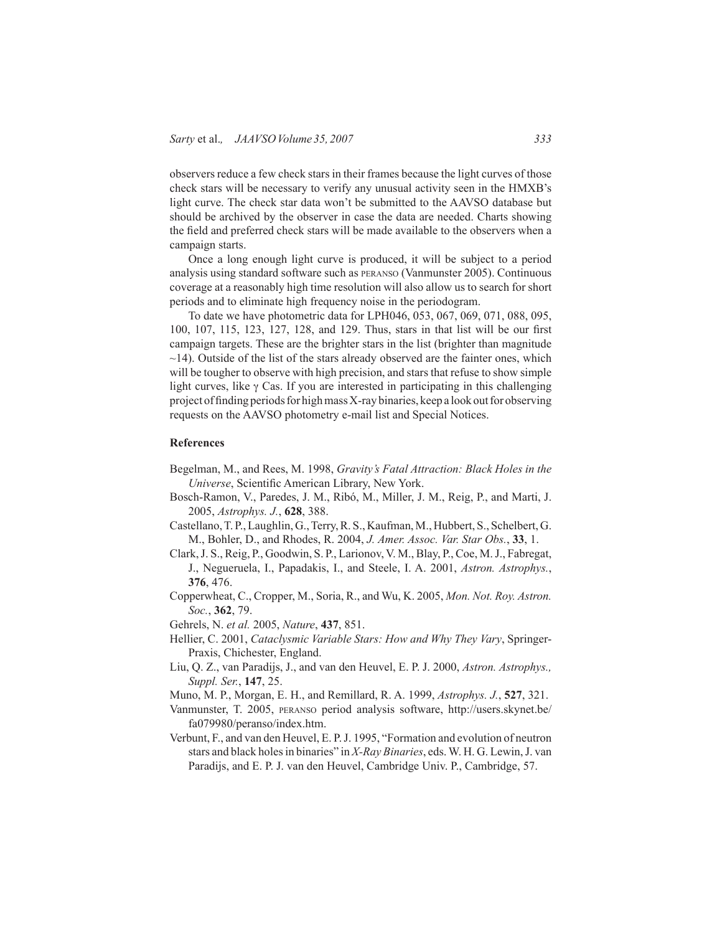observers reduce a few check stars in their frames because the light curves of those check stars will be necessary to verify any unusual activity seen in the HMXB's light curve. The check star data won't be submitted to the AAVSO database but should be archived by the observer in case the data are needed. Charts showing the field and preferred check stars will be made available to the observers when a campaign starts.

Once a long enough light curve is produced, it will be subject to a period analysis using standard software such as peranso (Vanmunster 2005). Continuous coverage at a reasonably high time resolution will also allow us to search for short periods and to eliminate high frequency noise in the periodogram.

To date we have photometric data for LPH046, 053, 067, 069, 071, 088, 095, 100, 107, 115, 123, 127, 128, and 129. Thus, stars in that list will be our first campaign targets. These are the brighter stars in the list (brighter than magnitude  $\sim$ 14). Outside of the list of the stars already observed are the fainter ones, which will be tougher to observe with high precision, and stars that refuse to show simple light curves, like  $\gamma$  Cas. If you are interested in participating in this challenging project of finding periods for high mass X-ray binaries, keep a look out for observing requests on the AAVSO photometry e-mail list and Special Notices.

### **References**

- Begelman, M., and Rees, M. 1998, *Gravity's Fatal Attraction: Black Holes in the Universe*, Scientific American Library, New York.
- Bosch-Ramon, V., Paredes, J. M., Ribó, M., Miller, J. M., Reig, P., and Marti, J. 2005, *Astrophys. J.*, **628**, 388.
- Castellano, T. P., Laughlin, G., Terry, R. S., Kaufman, M., Hubbert, S., Schelbert, G. M., Bohler, D., and Rhodes, R. 2004, *J. Amer. Assoc. Var. Star Obs.*, **33**, 1.
- Clark, J. S., Reig, P., Goodwin, S. P., Larionov, V. M., Blay, P., Coe, M. J., Fabregat, J., Negueruela, I., Papadakis, I., and Steele, I. A. 2001, *Astron. Astrophys.*, **376**, 476.
- Copperwheat, C., Cropper, M., Soria, R., and Wu, K. 2005, *Mon. Not. Roy. Astron. Soc.*, **362**, 79.
- Gehrels, N. *et al.* 2005, *Nature*, **437**, 851.
- Hellier, C. 2001, *Cataclysmic Variable Stars: How and Why They Vary*, Springer-Praxis, Chichester, England.
- Liu, Q. Z., van Paradijs, J., and van den Heuvel, E. P. J. 2000, *Astron. Astrophys., Suppl. Ser.*, **147**, 25.
- Muno, M. P., Morgan, E. H., and Remillard, R. A. 1999, *Astrophys. J.*, **527**, 321.
- Vanmunster, T. 2005, peranso period analysis software, http://users.skynet.be/ fa079980/peranso/index.htm.
- Verbunt, F., and van den Heuvel, E. P. J. 1995, "Formation and evolution of neutron stars and black holes in binaries" in *X-Ray Binaries*, eds. W. H. G. Lewin, J. van Paradijs, and E. P. J. van den Heuvel, Cambridge Univ. P., Cambridge, 57.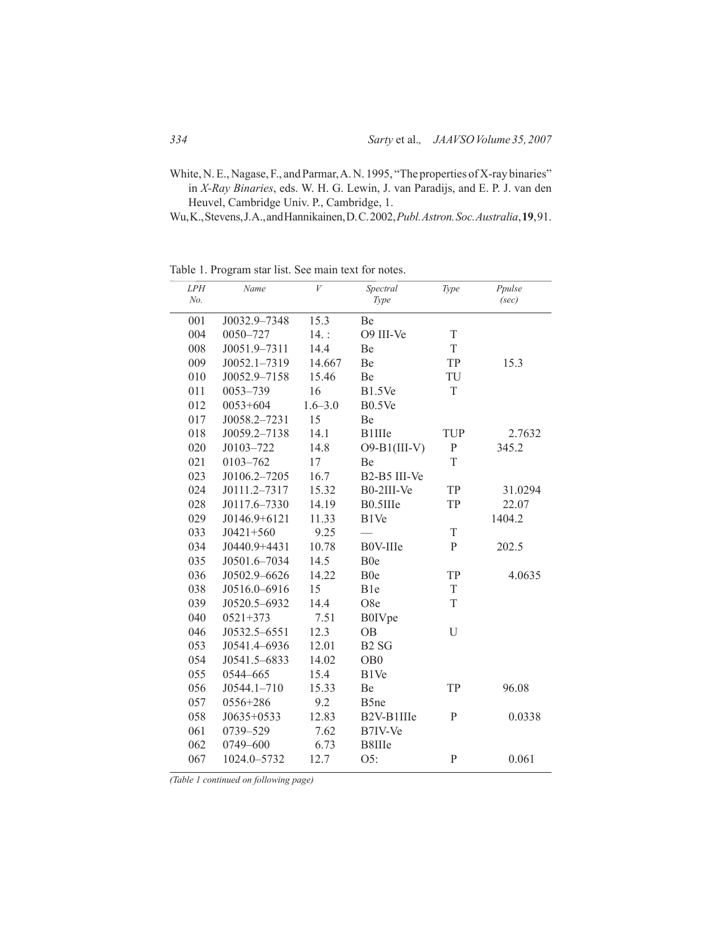White, N. E., Nagase, F., and Parmar, A. N. 1995, "The properties of X-ray binaries" in *X-Ray Binaries*, eds. W. H. G. Lewin, J. van Paradijs, and E. P. J. van den Heuvel, Cambridge Univ. P., Cambridge, 1.

Wu, K., Stevens, J. A., and Hannikainen, D. C. 2002, *Publ. Astron. Soc. Australia*, **19**, 91.

Table 1. Program star list. See main text for notes.

| LPH<br>No. | Name            | V           | Spectral<br>Type              | Type         | Ppulse<br>(sec) |
|------------|-----------------|-------------|-------------------------------|--------------|-----------------|
| 001        | J0032.9-7348    | 15.3        | Be                            |              |                 |
| 004        | 0050-727        | $14.$ :     | O9 III-Ve                     | $\rm T$      |                 |
| 008        | J0051.9-7311    | 14.4        | Be                            | $\mathbf T$  |                 |
| 009        | J0052.1-7319    | 14.667      | Be                            | TP           | 15.3            |
| 010        | J0052.9-7158    | 15.46       | Be                            | TU           |                 |
| 011        | 0053-739        | 16          | <b>B1.5Ve</b>                 | T            |                 |
| 012        | $0053 + 604$    | $1.6 - 3.0$ | B0.5Ve                        |              |                 |
| 017        | J0058.2-7231    | 15          | Be                            |              |                 |
| 018        | J0059.2-7138    | 14.1        | <b>B1IIIe</b>                 | TUP          | 2.7632          |
| 020        | J0103-722       | 14.8        | $O9-B1(III-V)$                | $\mathbf{P}$ | 345.2           |
| 021        | 0103-762        | 17          | Be                            | T            |                 |
| 023        | J0106.2-7205    | 16.7        | B2-B5 III-Ve                  |              |                 |
| 024        | J0111.2-7317    | 15.32       | B0-2III-Ve                    | TP           | 31.0294         |
| 028        | J0117.6-7330    | 14.19       | B0.5IIIe                      | TP           | 22.07           |
| 029        | J0146.9+6121    | 11.33       | B1Ve                          |              | 1404.2          |
| 033        | $J0421 + 560$   | 9.25        |                               | T            |                 |
| 034        | J0440.9+4431    | 10.78       | B0V-IIIe                      | $\mathbf{P}$ | 202.5           |
| 035        | J0501.6-7034    | 14.5        | B <sub>0</sub> e              |              |                 |
| 036        | J0502.9-6626    | 14.22       | B <sub>0</sub> e              | TP           | 4.0635          |
| 038        | J0516.0-6916    | 15          | B1e                           | $\mathbf T$  |                 |
| 039        | J0520.5-6932    | 14.4        | O8e                           | T            |                 |
| 040        | $0521 + 373$    | 7.51        | <b>B0IVpe</b>                 |              |                 |
| 046        | J0532.5-6551    | 12.3        | <b>OB</b>                     | U            |                 |
| 053        | J0541.4-6936    | 12.01       | B <sub>2</sub> S <sub>G</sub> |              |                 |
| 054        | J0541.5-6833    | 14.02       | OB <sub>0</sub>               |              |                 |
| 055        | 0544-665        | 15.4        | B1Ve                          |              |                 |
| 056        | $J0544.1 - 710$ | 15.33       | <b>Be</b>                     | TP           | 96.08           |
| 057        | 0556+286        | 9.2         | B5ne                          |              |                 |
| 058        | J0635+0533      | 12.83       | B2V-B1IIIe                    | P            | 0.0338          |
| 061        | 0739-529        | 7.62        | B7IV-Ve                       |              |                 |
| 062        | 0749-600        | 6.73        | B8IIIe                        |              |                 |
| 067        | 1024.0-5732     | 12.7        | O5:                           | $\mathbf{P}$ | 0.061           |

*(Table 1 continued on following page)*